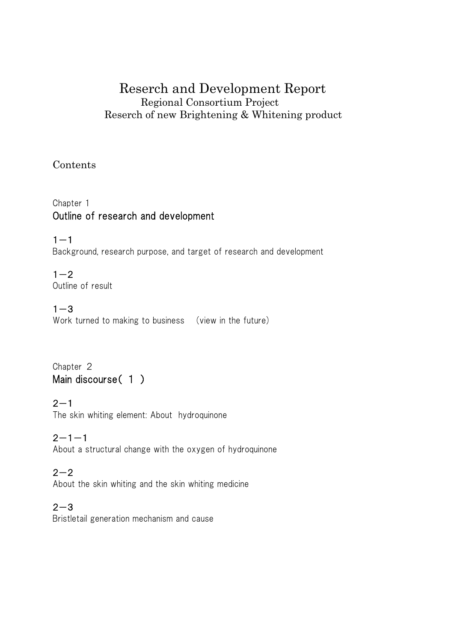## Reserch and Development Report Regional Consortium Project Reserch of new Brightening & Whitening product

#### Contents

## Chapter 1 Outline of research and development

 $1 - 1$ Background, research purpose, and target of research and development

 $1 - 2$ Outline of result

 $1 - 3$ Work turned to making to business (view in the future)

Chapter 2 Main discourse(1)

#### $2 - 1$

The skin whiting element: About hydroquinone

## $2 - 1 - 1$

About a structural change with the oxygen of hydroquinone

#### $2 - 2$

About the skin whiting and the skin whiting medicine

#### $2 - 3$

Bristletail generation mechanism and cause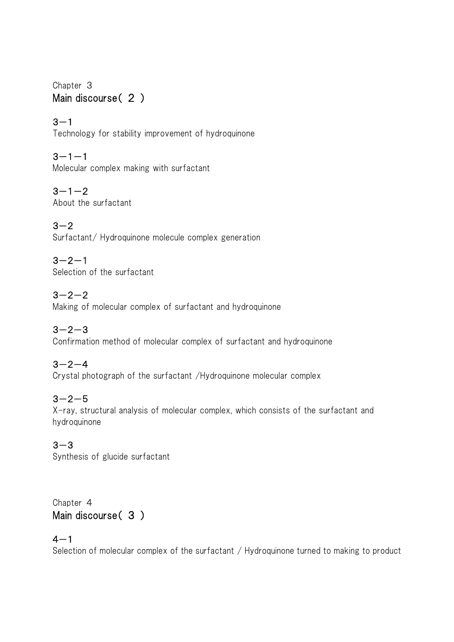#### Chapter 3 Main discourse (2)

 $3 - 1$ Technology for stability improvement of hydroquinone

 $3 - 1 - 1$ Molecular complex making with surfactant

 $3 - 1 - 2$ About the surfactant

 $3 - 2$ Surfactant/ Hydroquinone molecule complex generation

 $3 - 2 - 1$ Selection of the surfactant

## $3 - 2 - 2$

Making of molecular complex of surfactant and hydroquinone

## $3 - 2 - 3$

Confirmation method of molecular complex of surfactant and hydroquinone

## $3 - 2 - 4$

Crystal photograph of the surfactant /Hydroquinone molecular complex

## $3 - 2 - 5$

X-ray, structural analysis of molecular complex, which consists of the surfactant and hydroquinone

## $3 - 3$

Synthesis of glucide surfactant

#### Chapter 4 Main discourse(3)

## $4 - 1$

Selection of molecular complex of the surfactant / Hydroquinone turned to making to product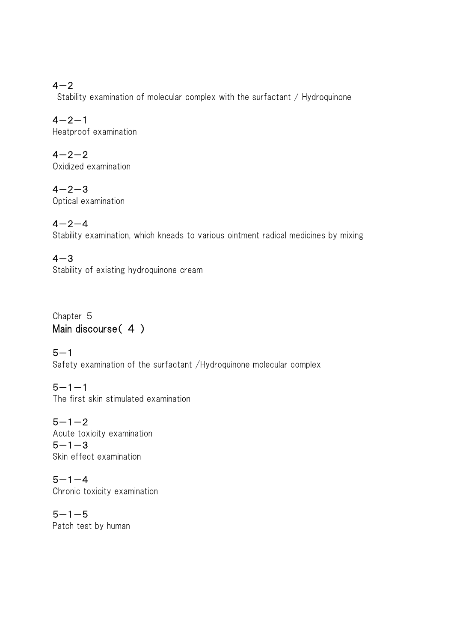## $4 - 2$

Stability examination of molecular complex with the surfactant / Hydroquinone

 $4 - 2 - 1$ Heatproof examination

 $4 - 2 - 2$ Oxidized examination

 $4 - 2 - 3$ Optical examination

 $4 - 2 - 4$ 

Stability examination, which kneads to various ointment radical medicines by mixing

 $4 - 3$ Stability of existing hydroquinone cream

Chapter 5 Main discourse(4)

 $5 - 1$ Safety examination of the surfactant /Hydroquinone molecular complex

 $5 - 1 - 1$ The first skin stimulated examination

 $5 - 1 - 2$ Acute toxicity examination  $5 - 1 - 3$ Skin effect examination

 $5 - 1 - 4$ Chronic toxicity examination

 $5 - 1 - 5$ Patch test by human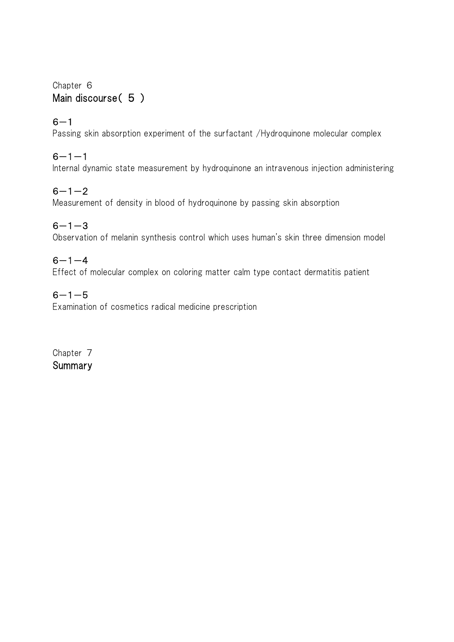#### Chapter 6 Main discourse( 5)

#### $6 - 1$

Passing skin absorption experiment of the surfactant /Hydroquinone molecular complex

### $6 - 1 - 1$

Internal dynamic state measurement by hydroquinone an intravenous injection administering

#### $6 - 1 - 2$

Measurement of density in blood of hydroquinone by passing skin absorption

#### $6 - 1 - 3$

Observation of melanin synthesis control which uses human's skin three dimension model

## $6 - 1 - 4$

Effect of molecular complex on coloring matter calm type contact dermatitis patient

#### $6 - 1 - 5$

Examination of cosmetics radical medicine prescription

Chapter 7 **Summary**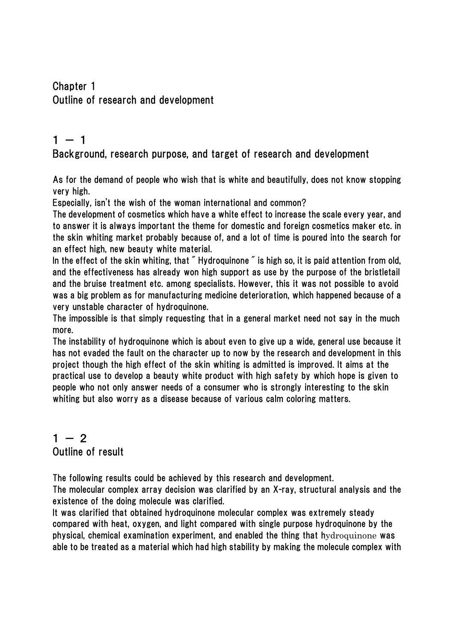### Chapter 1 Outline of research and development

## $1 - 1$

#### Background, research purpose, and target of research and development

As for the demand of people who wish that is white and beautifully, does not know stopping very high.

Especially, isn't the wish of the woman international and common?

The development of cosmetics which have a white effect to increase the scale every year, and to answer it is always important the theme for domestic and foreign cosmetics maker etc. in the skin whiting market probably because of, and a lot of time is poured into the search for an effect high, new beauty white material.

In the effect of the skin whiting, that "Hydroquinone" is high so, it is paid attention from old, and the effectiveness has already won high support as use by the purpose of the bristletail and the bruise treatment etc. among specialists. However, this it was not possible to avoid was a big problem as for manufacturing medicine deterioration, which happened because of a very unstable character of hydroquinone.

The impossible is that simply requesting that in a general market need not say in the much more.

The instability of hydroquinone which is about even to give up a wide, general use because it has not evaded the fault on the character up to now by the research and development in this project though the high effect of the skin whiting is admitted is improved. It aims at the practical use to develop a beauty white product with high safety by which hope is given to people who not only answer needs of a consumer who is strongly interesting to the skin whiting but also worry as a disease because of various calm coloring matters.

## $1 - 2$ Outline of result

The following results could be achieved by this research and development.

The molecular complex array decision was clarified by an X-ray, structural analysis and the existence of the doing molecule was clarified.

It was clarified that obtained hydroquinone molecular complex was extremely steady compared with heat, oxygen, and light compared with single purpose hydroquinone by the physical, chemical examination experiment, and enabled the thing that hydroquinone was able to be treated as a material which had high stability by making the molecule complex with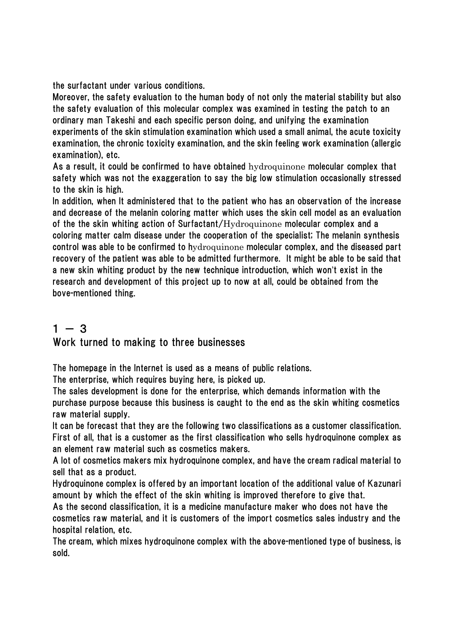the surfactant under various conditions.

Moreover, the safety evaluation to the human body of not only the material stability but also the safety evaluation of this molecular complex was examined in testing the patch to an ordinary man Takeshi and each specific person doing, and unifying the examination experiments of the skin stimulation examination which used a small animal, the acute toxicity examination, the chronic toxicity examination, and the skin feeling work examination (allergic examination), etc.

As a result, it could be confirmed to have obtained hydroquinone molecular complex that safety which was not the exaggeration to say the big low stimulation occasionally stressed to the skin is high.

In addition, when It administered that to the patient who has an observation of the increase and decrease of the melanin coloring matter which uses the skin cell model as an evaluation of the the skin whiting action of Surfactant/Hydroquinone molecular complex and a coloring matter calm disease under the cooperation of the specialist; The melanin synthesis control was able to be confirmed to hydroquinone molecular complex, and the diseased part recovery of the patient was able to be admitted furthermore. It might be able to be said that a new skin whiting product by the new technique introduction, which won't exist in the research and development of this project up to now at all, could be obtained from the bove-mentioned thing.

## $1 - 3$ Work turned to making to three businesses

The homepage in the Internet is used as a means of public relations.

The enterprise, which requires buying here, is picked up.

The sales development is done for the enterprise, which demands information with the purchase purpose because this business is caught to the end as the skin whiting cosmetics raw material supply.

It can be forecast that they are the following two classifications as a customer classification. First of all, that is a customer as the first classification who sells hydroquinone complex as an element raw material such as cosmetics makers.

A lot of cosmetics makers mix hydroquinone complex, and have the cream radical material to sell that as a product.

Hydroquinone complex is offered by an important location of the additional value of Kazunari amount by which the effect of the skin whiting is improved therefore to give that.

As the second classification, it is a medicine manufacture maker who does not have the cosmetics raw material, and it is customers of the import cosmetics sales industry and the hospital relation, etc.

The cream, which mixes hydroquinone complex with the above-mentioned type of business, is sold.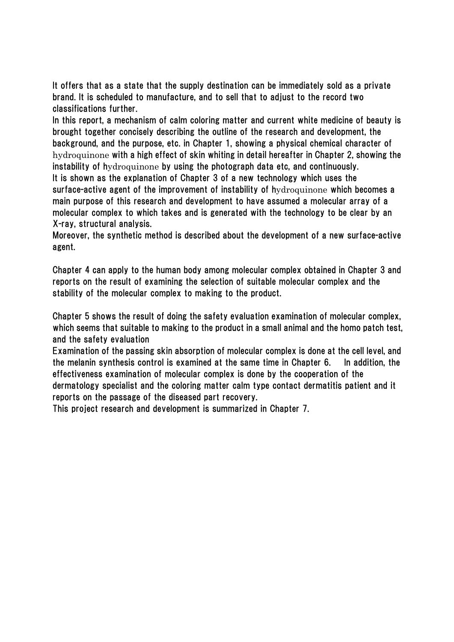It offers that as a state that the supply destination can be immediately sold as a private brand. It is scheduled to manufacture, and to sell that to adjust to the record two classifications further.

In this report, a mechanism of calm coloring matter and current white medicine of beauty is brought together concisely describing the outline of the research and development, the background, and the purpose, etc. in Chapter 1, showing a physical chemical character of hydroquinone with a high effect of skin whiting in detail hereafter in Chapter 2, showing the instability of hydroquinone by using the photograph data etc, and continuously. It is shown as the explanation of Chapter 3 of a new technology which uses the

surface-active agent of the improvement of instability of hydroquinone which becomes a main purpose of this research and development to have assumed a molecular array of a molecular complex to which takes and is generated with the technology to be clear by an X-ray, structural analysis.

Moreover, the synthetic method is described about the development of a new surface-active agent.

Chapter 4 can apply to the human body among molecular complex obtained in Chapter 3 and reports on the result of examining the selection of suitable molecular complex and the stability of the molecular complex to making to the product.

Chapter 5 shows the result of doing the safety evaluation examination of molecular complex, which seems that suitable to making to the product in a small animal and the homo patch test, and the safety evaluation

Examination of the passing skin absorption of molecular complex is done at the cell level, and the melanin synthesis control is examined at the same time in Chapter 6. In addition, the effectiveness examination of molecular complex is done by the cooperation of the dermatology specialist and the coloring matter calm type contact dermatitis patient and it reports on the passage of the diseased part recovery.

This project research and development is summarized in Chapter 7.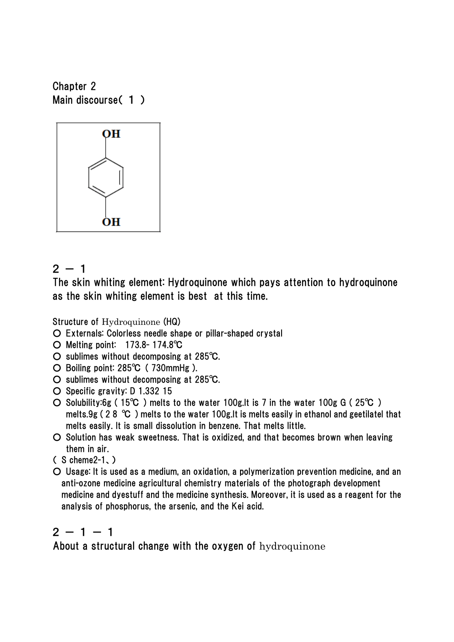Chapter 2 Main discourse(1)



## $2 - 1$

The skin whiting element: Hydroquinone which pays attention to hydroquinone as the skin whiting element is best at this time.

Structure of Hydroquinone (HQ)

- Externals: Colorless needle shape or pillar-shaped crystal
- Melting point: 173.8- 174.8℃
- sublimes without decomposing at 285℃.
- Boiling point: 285℃ ( 730mmHg ).
- sublimes without decomposing at 285℃.
- Specific gravity: D 1.332 15
- Solubility:6g ( 15℃ ) melts to the water 100g.It is 7 in the water 100g G ( 25℃ ) melts.9g ( 2 8 ℃ ) melts to the water 100g.It is melts easily in ethanol and geetilatel that melts easily. It is small dissolution in benzene. That melts little.
- Solution has weak sweetness. That is oxidized, and that becomes brown when leaving them in air.
- ( S cheme2-1、)
- Usage: It is used as a medium, an oxidation, a polymerization prevention medicine, and an anti-ozone medicine agricultural chemistry materials of the photograph development medicine and dyestuff and the medicine synthesis. Moreover, it is used as a reagent for the analysis of phosphorus, the arsenic, and the Kei acid.

## $2 - 1 - 1$

About a structural change with the oxygen of hydroquinone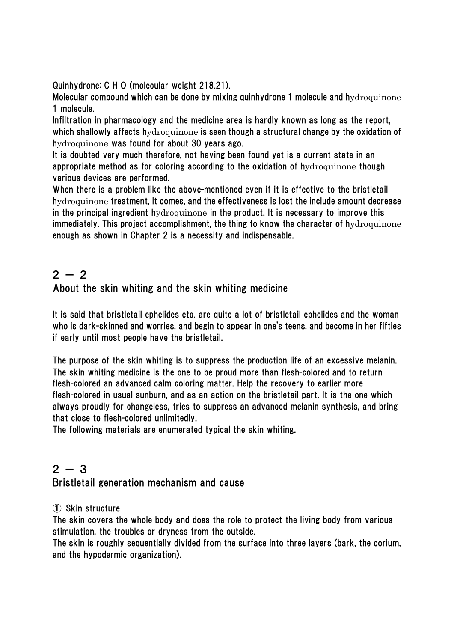Quinhydrone: C H O (molecular weight 218.21).

Molecular compound which can be done by mixing quinhydrone 1 molecule and hydroquinone 1 molecule.

Infiltration in pharmacology and the medicine area is hardly known as long as the report, which shallowly affects hydroquinone is seen though a structural change by the oxidation of hydroquinone was found for about 30 years ago.

It is doubted very much therefore, not having been found yet is a current state in an appropriate method as for coloring according to the oxidation of hydroquinone though various devices are performed.

When there is a problem like the above-mentioned even if it is effective to the bristletail hydroquinone treatment, It comes, and the effectiveness is lost the include amount decrease in the principal ingredient hydroquinone in the product. It is necessary to improve this immediately. This project accomplishment, the thing to know the character of hydroquinone enough as shown in Chapter 2 is a necessity and indispensable.

## $2 - 2$ About the skin whiting and the skin whiting medicine

It is said that bristletail ephelides etc. are quite a lot of bristletail ephelides and the woman who is dark-skinned and worries, and begin to appear in one's teens, and become in her fifties if early until most people have the bristletail.

The purpose of the skin whiting is to suppress the production life of an excessive melanin. The skin whiting medicine is the one to be proud more than flesh-colored and to return flesh-colored an advanced calm coloring matter. Help the recovery to earlier more flesh-colored in usual sunburn, and as an action on the bristletail part. It is the one which always proudly for changeless, tries to suppress an advanced melanin synthesis, and bring that close to flesh-colored unlimitedly.

The following materials are enumerated typical the skin whiting.

## $2 - 3$

#### Bristletail generation mechanism and cause

#### ① Skin structure

The skin covers the whole body and does the role to protect the living body from various stimulation, the troubles or dryness from the outside.

The skin is roughly sequentially divided from the surface into three layers (bark, the corium, and the hypodermic organization).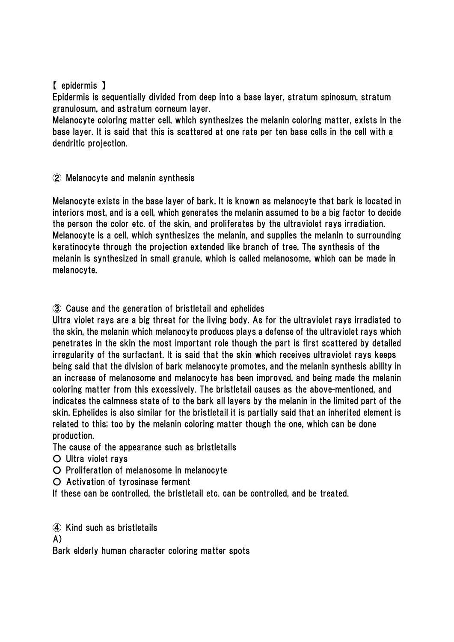#### 【 epidermis 】

Epidermis is sequentially divided from deep into a base layer, stratum spinosum, stratum granulosum, and astratum corneum layer.

Melanocyte coloring matter cell, which synthesizes the melanin coloring matter, exists in the base layer. It is said that this is scattered at one rate per ten base cells in the cell with a dendritic projection.

#### ② Melanocyte and melanin synthesis

Melanocyte exists in the base layer of bark. It is known as melanocyte that bark is located in interiors most, and is a cell, which generates the melanin assumed to be a big factor to decide the person the color etc. of the skin, and proliferates by the ultraviolet rays irradiation. Melanocyte is a cell, which synthesizes the melanin, and supplies the melanin to surrounding keratinocyte through the projection extended like branch of tree. The synthesis of the melanin is synthesized in small granule, which is called melanosome, which can be made in melanocyte.

#### ③ Cause and the generation of bristletail and ephelides

Ultra violet rays are a big threat for the living body. As for the ultraviolet rays irradiated to the skin, the melanin which melanocyte produces plays a defense of the ultraviolet rays which penetrates in the skin the most important role though the part is first scattered by detailed irregularity of the surfactant. It is said that the skin which receives ultraviolet rays keeps being said that the division of bark melanocyte promotes, and the melanin synthesis ability in an increase of melanosome and melanocyte has been improved, and being made the melanin coloring matter from this excessively. The bristletail causes as the above-mentioned, and indicates the calmness state of to the bark all layers by the melanin in the limited part of the skin. Ephelides is also similar for the bristletail it is partially said that an inherited element is related to this; too by the melanin coloring matter though the one, which can be done production.

The cause of the appearance such as bristletails

○ Ultra violet rays

○ Proliferation of melanosome in melanocyte

○ Activation of tyrosinase ferment

If these can be controlled, the bristletail etc. can be controlled, and be treated.

④ Kind such as bristletails

A)

Bark elderly human character coloring matter spots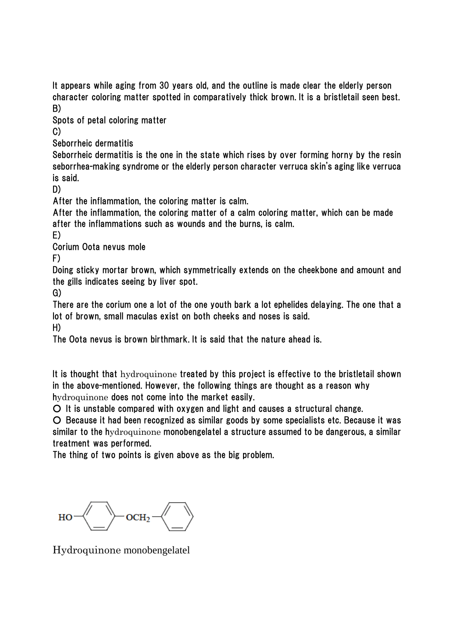It appears while aging from 30 years old, and the outline is made clear the elderly person character coloring matter spotted in comparatively thick brown. It is a bristletail seen best. B)

Spots of petal coloring matter

C)

Seborrheic dermatitis

Seborrheic dermatitis is the one in the state which rises by over forming horny by the resin seborrhea-making syndrome or the elderly person character verruca skin's aging like verruca is said.

D)

After the inflammation, the coloring matter is calm.

After the inflammation, the coloring matter of a calm coloring matter, which can be made after the inflammations such as wounds and the burns, is calm.

E)

Corium Oota nevus mole

F)

Doing sticky mortar brown, which symmetrically extends on the cheekbone and amount and the gills indicates seeing by liver spot.

G)

There are the corium one a lot of the one youth bark a lot ephelides delaying. The one that a lot of brown, small maculas exist on both cheeks and noses is said.

H)

The Oota nevus is brown birthmark. It is said that the nature ahead is.

It is thought that hydroquinone treated by this project is effective to the bristletail shown in the above-mentioned. However, the following things are thought as a reason why hydroquinone does not come into the market easily.

○ It is unstable compared with oxygen and light and causes a structural change.

○ Because it had been recognized as similar goods by some specialists etc. Because it was similar to the hydroquinone monobengelatel a structure assumed to be dangerous, a similar treatment was performed.

The thing of two points is given above as the big problem.

 $OCH<sub>2</sub>$ HO

Hydroquinone monobengelatel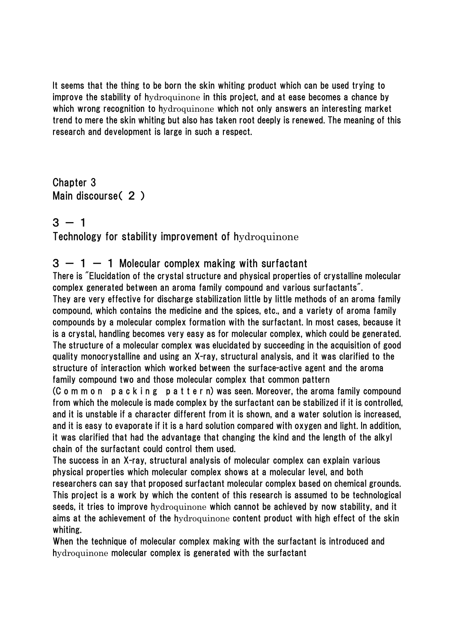It seems that the thing to be born the skin whiting product which can be used trying to improve the stability of hydroquinone in this project, and at ease becomes a chance by which wrong recognition to hydroquinone which not only answers an interesting market trend to mere the skin whiting but also has taken root deeply is renewed. The meaning of this research and development is large in such a respect.

Chapter 3 Main discourse( 2 )

 $3 - 1$ 

#### Technology for stability improvement of hydroquinone

#### $3 - 1 - 1$  Molecular complex making with surfactant

There is "Elucidation of the crystal structure and physical properties of crystalline molecular complex generated between an aroma family compound and various surfactants".

They are very effective for discharge stabilization little by little methods of an aroma family compound, which contains the medicine and the spices, etc., and a variety of aroma family compounds by a molecular complex formation with the surfactant. In most cases, because it is a crystal, handling becomes very easy as for molecular complex, which could be generated. The structure of a molecular complex was elucidated by succeeding in the acquisition of good quality monocrystalline and using an X-ray, structural analysis, and it was clarified to the structure of interaction which worked between the surface-active agent and the aroma family compound two and those molecular complex that common pattern

(C o m m o n p a c k i n g p a t t e r n) was seen. Moreover, the aroma family compound from which the molecule is made complex by the surfactant can be stabilized if it is controlled, and it is unstable if a character different from it is shown, and a water solution is increased, and it is easy to evaporate if it is a hard solution compared with oxygen and light. In addition, it was clarified that had the advantage that changing the kind and the length of the alkyl chain of the surfactant could control them used.

The success in an X-ray, structural analysis of molecular complex can explain various physical properties which molecular complex shows at a molecular level, and both researchers can say that proposed surfactant molecular complex based on chemical grounds. This project is a work by which the content of this research is assumed to be technological seeds, it tries to improve hydroquinone which cannot be achieved by now stability, and it aims at the achievement of the hydroquinone content product with high effect of the skin whiting.

When the technique of molecular complex making with the surfactant is introduced and hydroquinone molecular complex is generated with the surfactant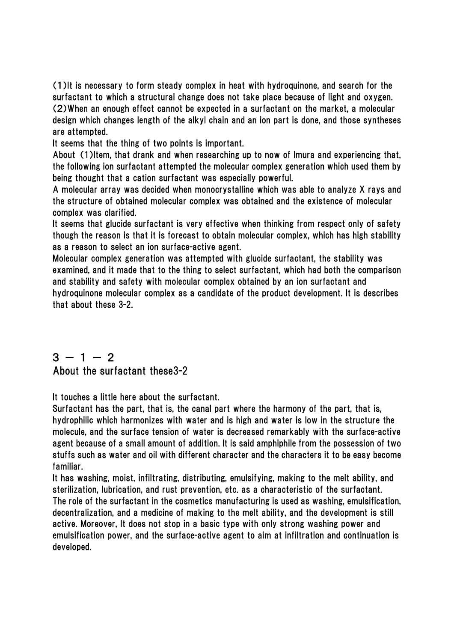(1)It is necessary to form steady complex in heat with hydroquinone, and search for the surfactant to which a structural change does not take place because of light and oxygen. (2)When an enough effect cannot be expected in a surfactant on the market, a molecular design which changes length of the alkyl chain and an ion part is done, and those syntheses are attempted.

It seems that the thing of two points is important.

About (1)Item, that drank and when researching up to now of Imura and experiencing that, the following ion surfactant attempted the molecular complex generation which used them by being thought that a cation surfactant was especially powerful.

A molecular array was decided when monocrystalline which was able to analyze X rays and the structure of obtained molecular complex was obtained and the existence of molecular complex was clarified.

It seems that glucide surfactant is very effective when thinking from respect only of safety though the reason is that it is forecast to obtain molecular complex, which has high stability as a reason to select an ion surface-active agent.

Molecular complex generation was attempted with glucide surfactant, the stability was examined, and it made that to the thing to select surfactant, which had both the comparison and stability and safety with molecular complex obtained by an ion surfactant and hydroquinone molecular complex as a candidate of the product development. It is describes that about these 3-2.

#### $3 - 1 - 2$ About the surfactant these3-2

It touches a little here about the surfactant.

Surfactant has the part, that is, the canal part where the harmony of the part, that is, hydrophilic which harmonizes with water and is high and water is low in the structure the molecule, and the surface tension of water is decreased remarkably with the surface-active agent because of a small amount of addition. It is said amphiphile from the possession of two stuffs such as water and oil with different character and the characters it to be easy become familiar.

It has washing, moist, infiltrating, distributing, emulsifying, making to the melt ability, and sterilization, lubrication, and rust prevention, etc. as a characteristic of the surfactant. The role of the surfactant in the cosmetics manufacturing is used as washing, emulsification, decentralization, and a medicine of making to the melt ability, and the development is still active. Moreover, It does not stop in a basic type with only strong washing power and emulsification power, and the surface-active agent to aim at infiltration and continuation is developed.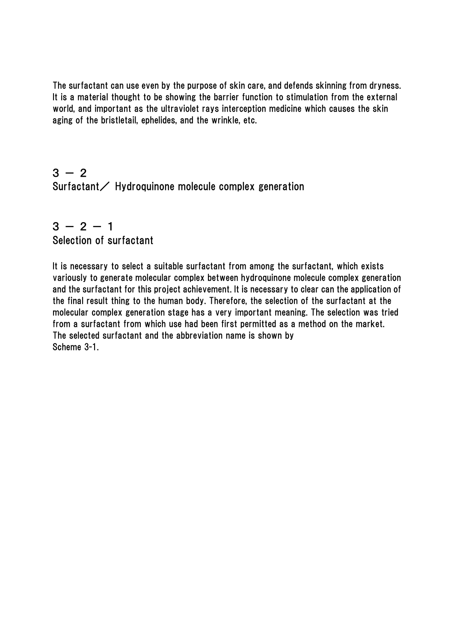The surfactant can use even by the purpose of skin care, and defends skinning from dryness. It is a material thought to be showing the barrier function to stimulation from the external world, and important as the ultraviolet rays interception medicine which causes the skin aging of the bristletail, ephelides, and the wrinkle, etc.

 $3 - 2$ Surfactant/ Hydroquinone molecule complex generation

## $3 - 2 - 1$ Selection of surfactant

It is necessary to select a suitable surfactant from among the surfactant, which exists variously to generate molecular complex between hydroquinone molecule complex generation and the surfactant for this project achievement. It is necessary to clear can the application of the final result thing to the human body. Therefore, the selection of the surfactant at the molecular complex generation stage has a very important meaning. The selection was tried from a surfactant from which use had been first permitted as a method on the market. The selected surfactant and the abbreviation name is shown by Scheme 3-1.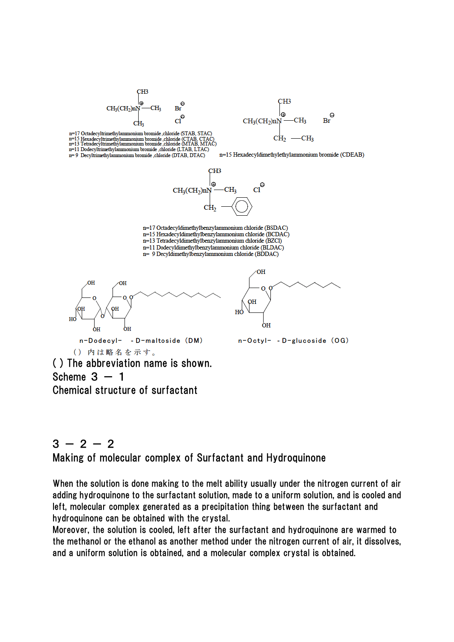



n=15 Hexadecyldimethylethylammonium bromide (CDEAB)

n=17 Octadecyltrimethylammonium bromide chloride (STAB, STAC) n=15 Hexadecyltrimethylammonium bromide, chloride (CTAB, CTAC)<br>n=15 Hexadecyltrimethylammonium bromide, chloride (CTAB, CTAC)<br>n=13 Tetradecyltrimethylammonium bromide, chloride (MTAB, MTAC) n=11 Dodecyltrimethylammonium bromide .chloride (LTAB, LTAC) n= 9 Decyltrimethylammonium bromide .chloride (DTAB, DTAC)



n=17 Octadecyldimethylbenzylammonium chloride (BSDAC)

n=15 Hexadecyldimethylbenzylammonium chloride (BCDAC)

n=13 Tetradecyldimethylbenzylammonium chloride (BZCl)

n=11 Dodecyldimethylbenzylammonium chloride (BLDAC) n= 9 Decyldimethylbenzylammonium chloride (BDDAC)



( ) The abbreviation name is shown. Scheme  $3 - 1$ Chemical structure of surfactant

## $3 - 2 - 2$ Making of molecular complex of Surfactant and Hydroquinone

When the solution is done making to the melt ability usually under the nitrogen current of air adding hydroquinone to the surfactant solution, made to a uniform solution, and is cooled and left, molecular complex generated as a precipitation thing between the surfactant and hydroquinone can be obtained with the crystal.

Moreover, the solution is cooled, left after the surfactant and hydroquinone are warmed to the methanol or the ethanol as another method under the nitrogen current of air, it dissolves, and a uniform solution is obtained, and a molecular complex crystal is obtained.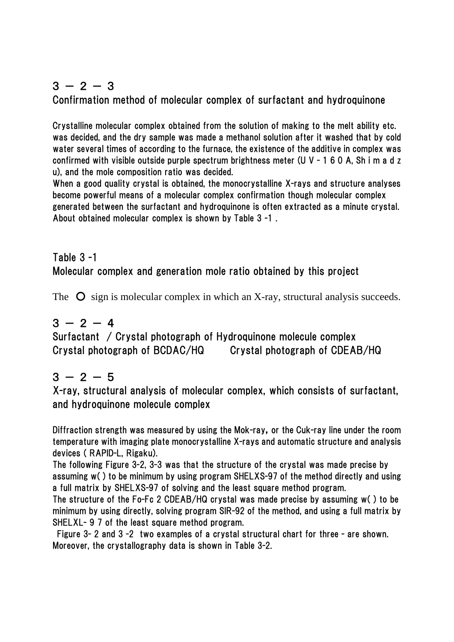## $3 - 2 - 3$ Confirmation method of molecular complex of surfactant and hydroquinone

Crystalline molecular complex obtained from the solution of making to the melt ability etc. was decided, and the dry sample was made a methanol solution after it washed that by cold water several times of according to the furnace, the existence of the additive in complex was confirmed with visible outside purple spectrum brightness meter (U V - 1 6 0 A, Sh i m a d z u), and the mole composition ratio was decided.

When a good quality crystal is obtained, the monocrystalline X-rays and structure analyses become powerful means of a molecular complex confirmation though molecular complex generated between the surfactant and hydroquinone is often extracted as a minute crystal. About obtained molecular complex is shown by Table 3 -1 .

## Table 3 -1 Molecular complex and generation mole ratio obtained by this project

The  $\bullet$  sign is molecular complex in which an X-ray, structural analysis succeeds.

## $3 - 2 - 4$

Surfactant / Crystal photograph of Hydroquinone molecule complex Crystal photograph of BCDAC/HQ Crystal photograph of CDEAB/HQ

## $3 - 2 - 5$

X-ray, structural analysis of molecular complex, which consists of surfactant, and hydroquinone molecule complex

Diffraction strength was measured by using the Mok-ray, or the Cuk-ray line under the room temperature with imaging plate monocrystalline X-rays and automatic structure and analysis devices ( RAPID-L, Rigaku).

The following Figure 3-2, 3-3 was that the structure of the crystal was made precise by assuming w( ) to be minimum by using program SHELXS-97 of the method directly and using a full matrix by SHELXS-97 of solving and the least square method program.

The structure of the Fo-Fc 2 CDEAB/HQ crystal was made precise by assuming w( ) to be minimum by using directly, solving program SIR-92 of the method, and using a full matrix by SHELXL- 9 7 of the least square method program.

Figure 3- 2 and 3 -2 two examples of a crystal structural chart for three - are shown. Moreover, the crystallography data is shown in Table 3-2.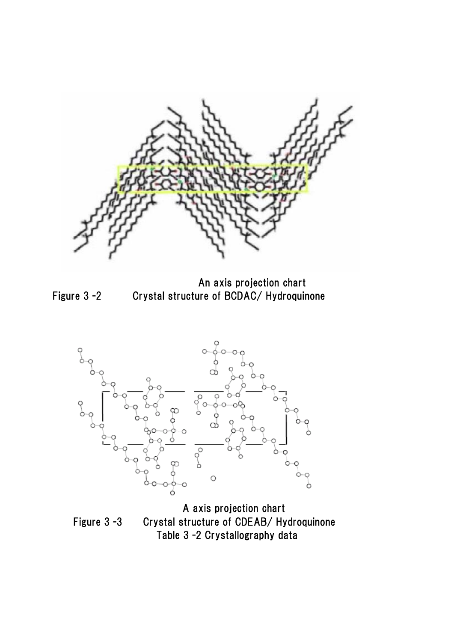

An axis projection chart Figure 3 -2 Crystal structure of BCDAC/ Hydroquinone



A axis projection chart Figure 3 -3 Crystal structure of CDEAB/ Hydroquinone Table 3 -2 Crystallography data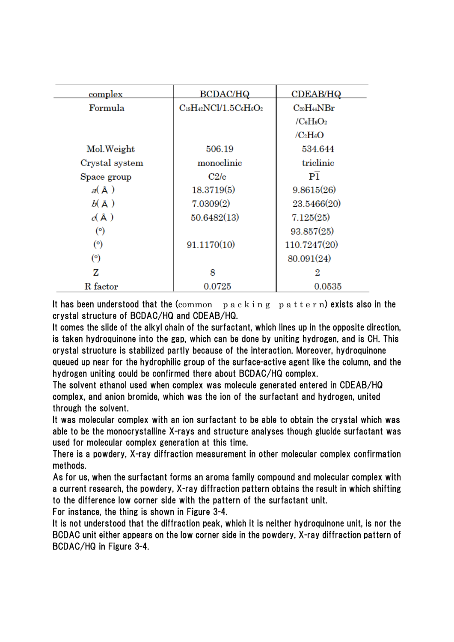| <u>complex</u>          | <b>BCDAC/HQ</b>                | <b>CDEAB/HQ</b>   |  |
|-------------------------|--------------------------------|-------------------|--|
|                         |                                |                   |  |
| Formula                 | $C_{19}H_{42}NCl/1.5C_6H_6O_2$ | $C_{20}H_{44}NBr$ |  |
|                         |                                | $/C_6H_6O_2$      |  |
|                         |                                | $/C_2H_6O$        |  |
| Mol. Weight             | 506.19                         | 534.644           |  |
| Crystal system          | monoclinic                     | triclinic         |  |
| Space group             | C2/c                           | P1                |  |
| $a(\text{Å})$           | 18.3719(5)                     | 9.8615(26)        |  |
| $b(\AA)$                | 7.0309(2)                      | 23.5466(20)       |  |
| $\alpha$ $(\mathbb{A})$ | 50.6482(13)                    | 7.125(25)         |  |
| (°)                     |                                | 93.857(25)        |  |
| (°)                     | 91.1170(10)                    | 110.7247(20)      |  |
| (°)                     |                                | 80.091(24)        |  |
| z                       | 8                              | 2                 |  |
| R factor                | 0.0725                         | 0.0535            |  |

It has been understood that the  $(common \ p \ a \ c \ k \ i \ n \ g \ p \ a \ t \ t \ e \ r \ n)$  exists also in the crystal structure of BCDAC/HQ and CDEAB/HQ.

It comes the slide of the alkyl chain of the surfactant, which lines up in the opposite direction, is taken hydroquinone into the gap, which can be done by uniting hydrogen, and is CH. This crystal structure is stabilized partly because of the interaction. Moreover, hydroquinone queued up near for the hydrophilic group of the surface-active agent like the column, and the hydrogen uniting could be confirmed there about BCDAC/HQ complex.

The solvent ethanol used when complex was molecule generated entered in CDEAB/HQ complex, and anion bromide, which was the ion of the surfactant and hydrogen, united through the solvent.

It was molecular complex with an ion surfactant to be able to obtain the crystal which was able to be the monocrystalline X-rays and structure analyses though glucide surfactant was used for molecular complex generation at this time.

There is a powdery, X-ray diffraction measurement in other molecular complex confirmation methods.

As for us, when the surfactant forms an aroma family compound and molecular complex with a current research, the powdery, X-ray diffraction pattern obtains the result in which shifting to the difference low corner side with the pattern of the surfactant unit.

For instance, the thing is shown in Figure 3-4.

It is not understood that the diffraction peak, which it is neither hydroquinone unit, is nor the BCDAC unit either appears on the low corner side in the powdery, X-ray diffraction pattern of BCDAC/HQ in Figure 3-4.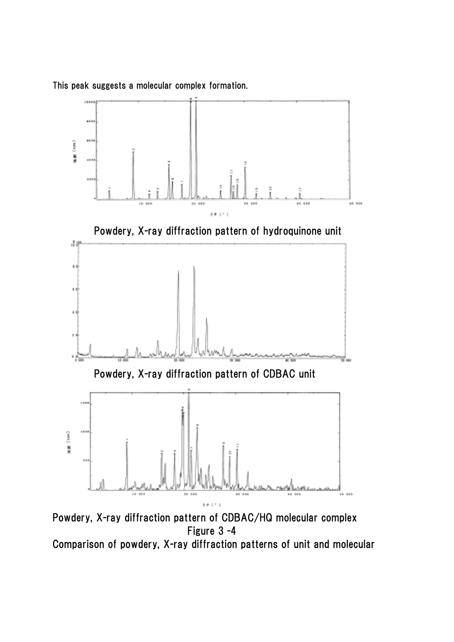

This peak suggests a molecular complex formation.

Powdery, X-ray diffraction pattern of CDBAC/HQ molecular complex Figure 3 -4

Comparison of powdery, X-ray diffraction patterns of unit and molecular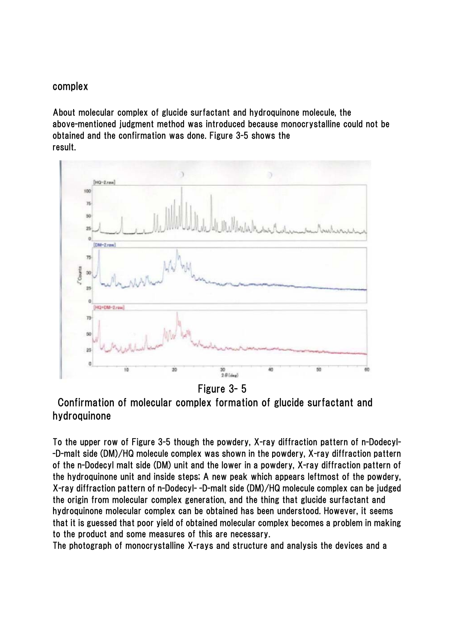#### complex

About molecular complex of glucide surfactant and hydroquinone molecule, the above-mentioned judgment method was introduced because monocrystalline could not be obtained and the confirmation was done. Figure 3-5 shows the result.



Figure 3- 5

 Confirmation of molecular complex formation of glucide surfactant and hydroquinone

To the upper row of Figure 3-5 though the powdery, X-ray diffraction pattern of n-Dodecyl- -D-malt side (DM)/HQ molecule complex was shown in the powdery, X-ray diffraction pattern of the n-Dodecyl malt side (DM) unit and the lower in a powdery, X-ray diffraction pattern of the hydroquinone unit and inside steps; A new peak which appears leftmost of the powdery, X-ray diffraction pattern of n-Dodecyl- -D-malt side (DM)/HQ molecule complex can be judged the origin from molecular complex generation, and the thing that glucide surfactant and hydroquinone molecular complex can be obtained has been understood. However, it seems that it is guessed that poor yield of obtained molecular complex becomes a problem in making to the product and some measures of this are necessary.

The photograph of monocrystalline X-rays and structure and analysis the devices and a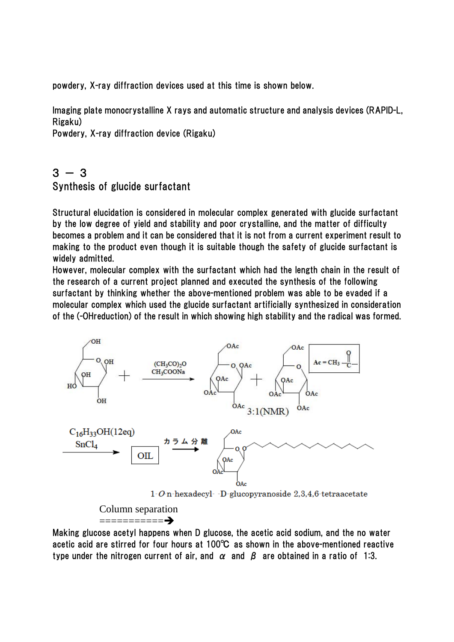powdery, X-ray diffraction devices used at this time is shown below.

Imaging plate monocrystalline X rays and automatic structure and analysis devices (RAPID-L, Rigaku)

Powdery, X-ray diffraction device (Rigaku)

## $3 - 3$ Synthesis of glucide surfactant

Structural elucidation is considered in molecular complex generated with glucide surfactant by the low degree of yield and stability and poor crystalline, and the matter of difficulty becomes a problem and it can be considered that it is not from a current experiment result to making to the product even though it is suitable though the safety of glucide surfactant is widely admitted.

However, molecular complex with the surfactant which had the length chain in the result of the research of a current project planned and executed the synthesis of the following surfactant by thinking whether the above-mentioned problem was able to be evaded if a molecular complex which used the glucide surfactant artificially synthesized in consideration of the (-OHreduction) of the result in which showing high stability and the radical was formed.



 Column separation ===========Î

Making glucose acetyl happens when D glucose, the acetic acid sodium, and the no water acetic acid are stirred for four hours at 100℃ as shown in the above-mentioned reactive type under the nitrogen current of air, and  $\alpha$  and  $\beta$  are obtained in a ratio of 1:3.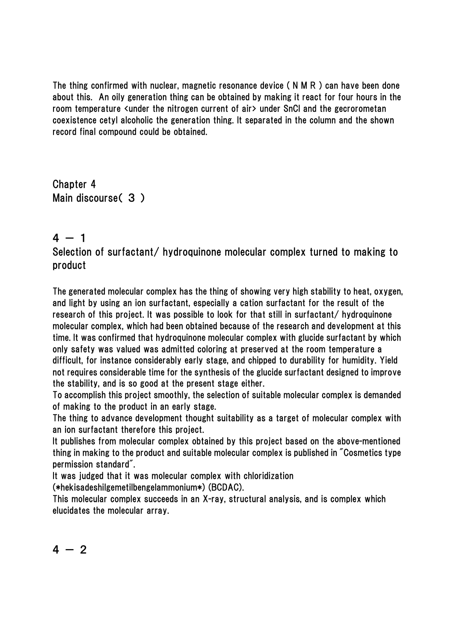The thing confirmed with nuclear, magnetic resonance device ( N M R ) can have been done about this. An oily generation thing can be obtained by making it react for four hours in the room temperature <under the nitrogen current of air> under SnCl and the gecrorometan coexistence cetyl alcoholic the generation thing. It separated in the column and the shown record final compound could be obtained.

Chapter 4 Main discourse( 3 )

## $4 - 1$

Selection of surfactant/ hydroquinone molecular complex turned to making to product

The generated molecular complex has the thing of showing very high stability to heat, oxygen, and light by using an ion surfactant, especially a cation surfactant for the result of the research of this project. It was possible to look for that still in surfactant/ hydroquinone molecular complex, which had been obtained because of the research and development at this time. It was confirmed that hydroquinone molecular complex with glucide surfactant by which only safety was valued was admitted coloring at preserved at the room temperature a difficult, for instance considerably early stage, and chipped to durability for humidity. Yield not requires considerable time for the synthesis of the glucide surfactant designed to improve the stability, and is so good at the present stage either.

To accomplish this project smoothly, the selection of suitable molecular complex is demanded of making to the product in an early stage.

The thing to advance development thought suitability as a target of molecular complex with an ion surfactant therefore this project.

It publishes from molecular complex obtained by this project based on the above-mentioned thing in making to the product and suitable molecular complex is published in "Cosmetics type permission standard".

It was judged that it was molecular complex with chloridization

(\*hekisadeshilgemetilbengelammonium\*) (BCDAC).

This molecular complex succeeds in an X-ray, structural analysis, and is complex which elucidates the molecular array.

$$
4\,-\,2
$$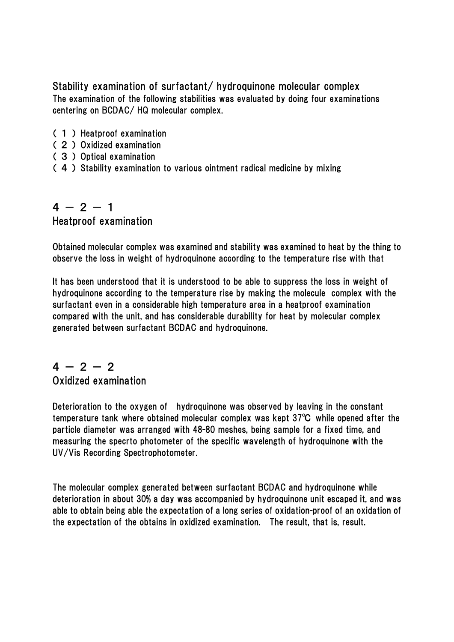Stability examination of surfactant/ hydroquinone molecular complex The examination of the following stabilities was evaluated by doing four examinations centering on BCDAC/ HQ molecular complex.

- ( 1 ) Heatproof examination
- ( 2 ) Oxidized examination
- ( 3 ) Optical examination
- ( 4 ) Stability examination to various ointment radical medicine by mixing

## $4 - 2 - 1$ Heatproof examination

Obtained molecular complex was examined and stability was examined to heat by the thing to observe the loss in weight of hydroquinone according to the temperature rise with that

It has been understood that it is understood to be able to suppress the loss in weight of hydroquinone according to the temperature rise by making the molecule complex with the surfactant even in a considerable high temperature area in a heatproof examination compared with the unit, and has considerable durability for heat by molecular complex generated between surfactant BCDAC and hydroquinone.

#### $4 - 2 - 2$ Oxidized examination

Deterioration to the oxygen of hydroquinone was observed by leaving in the constant temperature tank where obtained molecular complex was kept 37℃ while opened after the particle diameter was arranged with 48-80 meshes, being sample for a fixed time, and measuring the specrto photometer of the specific wavelength of hydroquinone with the UV/Vis Recording Spectrophotometer.

The molecular complex generated between surfactant BCDAC and hydroquinone while deterioration in about 30% a day was accompanied by hydroquinone unit escaped it, and was able to obtain being able the expectation of a long series of oxidation-proof of an oxidation of the expectation of the obtains in oxidized examination. The result, that is, result.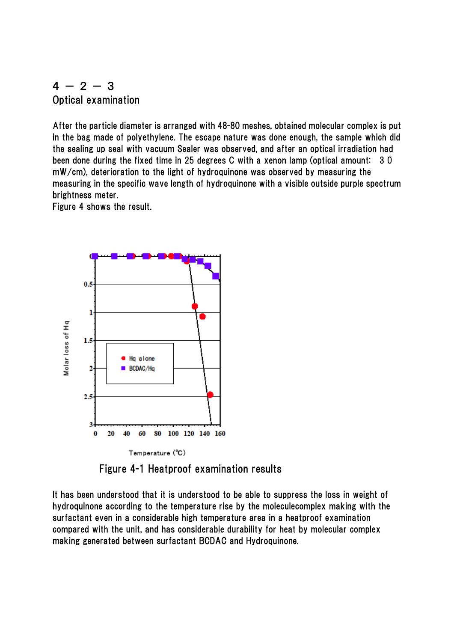#### $4 - 2 - 3$ Optical examination

After the particle diameter is arranged with 48-80 meshes, obtained molecular complex is put in the bag made of polyethylene. The escape nature was done enough, the sample which did the sealing up seal with vacuum Sealer was observed, and after an optical irradiation had been done during the fixed time in 25 degrees C with a xenon lamp (optical amount: 3 0 mW/cm), deterioration to the light of hydroquinone was observed by measuring the measuring in the specific wave length of hydroquinone with a visible outside purple spectrum brightness meter.

Figure 4 shows the result.



Figure 4-1 Heatproof examination results

It has been understood that it is understood to be able to suppress the loss in weight of hydroquinone according to the temperature rise by the moleculecomplex making with the surfactant even in a considerable high temperature area in a heatproof examination compared with the unit, and has considerable durability for heat by molecular complex making generated between surfactant BCDAC and Hydroquinone.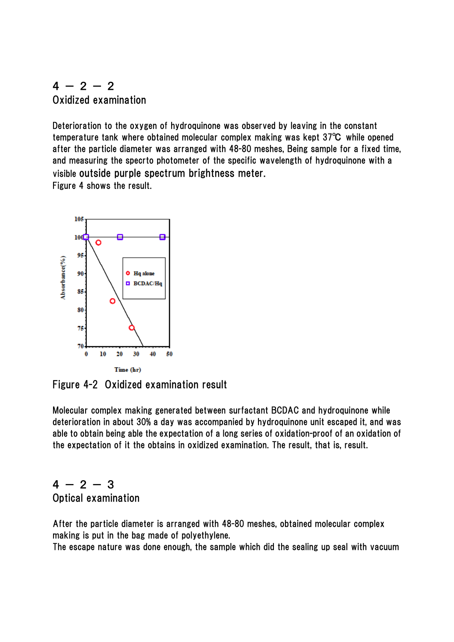## $4 - 2 - 2$ Oxidized examination

Deterioration to the oxygen of hydroquinone was observed by leaving in the constant temperature tank where obtained molecular complex making was kept 37℃ while opened after the particle diameter was arranged with 48-80 meshes, Being sample for a fixed time, and measuring the specrto photometer of the specific wavelength of hydroquinone with a visible outside purple spectrum brightness meter. Figure 4 shows the result.



Figure 4-2 Oxidized examination result

Molecular complex making generated between surfactant BCDAC and hydroquinone while deterioration in about 30% a day was accompanied by hydroquinone unit escaped it, and was able to obtain being able the expectation of a long series of oxidation-proof of an oxidation of the expectation of it the obtains in oxidized examination. The result, that is, result.

## $4 - 2 - 3$ Optical examination

After the particle diameter is arranged with 48-80 meshes, obtained molecular complex making is put in the bag made of polyethylene.

The escape nature was done enough, the sample which did the sealing up seal with vacuum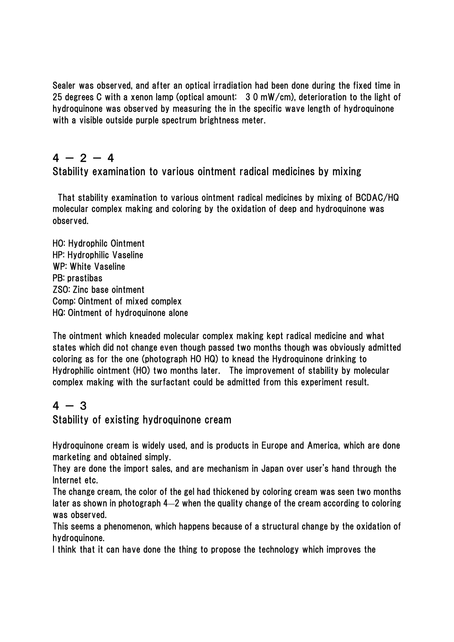Sealer was observed, and after an optical irradiation had been done during the fixed time in 25 degrees C with a xenon lamp (optical amount: 3 0 mW/cm), deterioration to the light of hydroquinone was observed by measuring the in the specific wave length of hydroquinone with a visible outside purple spectrum brightness meter.

## $4 - 2 - 4$

Stability examination to various ointment radical medicines by mixing

That stability examination to various ointment radical medicines by mixing of BCDAC/HQ molecular complex making and coloring by the oxidation of deep and hydroquinone was observed.

HO: Hydrophilc Ointment HP: Hydrophilic Vaseline WP: White Vaseline PB: prastibas ZSO: Zinc base ointment Comp: Ointment of mixed complex HQ: Ointment of hydroquinone alone

The ointment which kneaded molecular complex making kept radical medicine and what states which did not change even though passed two months though was obviously admitted coloring as for the one (photograph HO HQ) to knead the Hydroquinone drinking to Hydrophilic ointment (HO) two months later. The improvement of stability by molecular complex making with the surfactant could be admitted from this experiment result.

#### $4 - 3$

Stability of existing hydroquinone cream

Hydroquinone cream is widely used, and is products in Europe and America, which are done marketing and obtained simply.

They are done the import sales, and are mechanism in Japan over user's hand through the Internet etc.

The change cream, the color of the gel had thickened by coloring cream was seen two months later as shown in photograph 4―2 when the quality change of the cream according to coloring was observed.

This seems a phenomenon, which happens because of a structural change by the oxidation of hydroquinone.

I think that it can have done the thing to propose the technology which improves the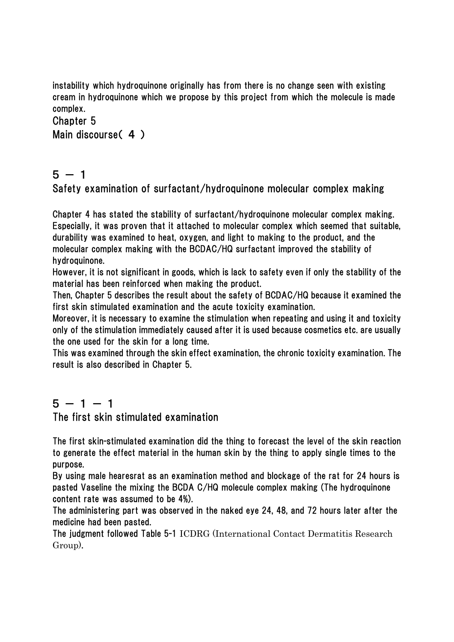instability which hydroquinone originally has from there is no change seen with existing cream in hydroquinone which we propose by this project from which the molecule is made complex.

#### Chapter 5 Main discourse( 4 )

## $5 - 1$

Safety examination of surfactant/hydroquinone molecular complex making

Chapter 4 has stated the stability of surfactant/hydroquinone molecular complex making. Especially, it was proven that it attached to molecular complex which seemed that suitable, durability was examined to heat, oxygen, and light to making to the product, and the molecular complex making with the BCDAC/HQ surfactant improved the stability of hydroquinone.

However, it is not significant in goods, which is lack to safety even if only the stability of the material has been reinforced when making the product.

Then, Chapter 5 describes the result about the safety of BCDAC/HQ because it examined the first skin stimulated examination and the acute toxicity examination.

Moreover, it is necessary to examine the stimulation when repeating and using it and toxicity only of the stimulation immediately caused after it is used because cosmetics etc. are usually the one used for the skin for a long time.

This was examined through the skin effect examination, the chronic toxicity examination. The result is also described in Chapter 5.

## $5 - 1 - 1$

The first skin stimulated examination

The first skin-stimulated examination did the thing to forecast the level of the skin reaction to generate the effect material in the human skin by the thing to apply single times to the purpose.

By using male hearesrat as an examination method and blockage of the rat for 24 hours is pasted Vaseline the mixing the BCDA C/HQ molecule complex making (The hydroquinone content rate was assumed to be 4%).

The administering part was observed in the naked eye 24, 48, and 72 hours later after the medicine had been pasted.

The judgment followed Table 5-1 ICDRG (International Contact Dermatitis Research Group).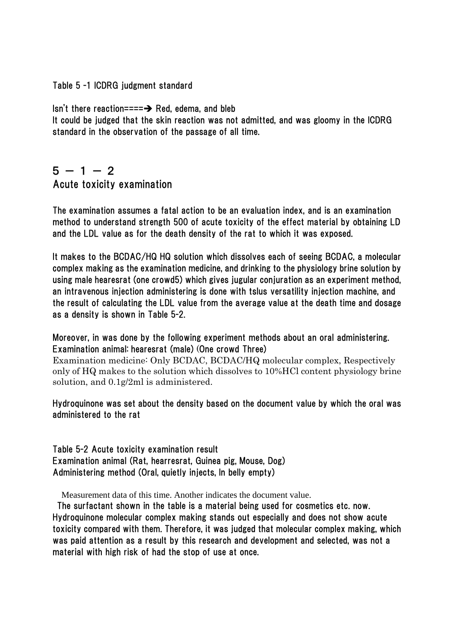#### Table 5 -1 ICDRG judgment standard

Isn't there reaction==== $\rightarrow$  Red, edema, and bleb It could be judged that the skin reaction was not admitted, and was gloomy in the ICDRG standard in the observation of the passage of all time.

#### $5 - 1 - 2$ Acute toxicity examination

The examination assumes a fatal action to be an evaluation index, and is an examination method to understand strength 500 of acute toxicity of the effect material by obtaining LD and the LDL value as for the death density of the rat to which it was exposed.

It makes to the BCDAC/HQ HQ solution which dissolves each of seeing BCDAC, a molecular complex making as the examination medicine, and drinking to the physiology brine solution by using male hearesrat (one crowd5) which gives jugular conjuration as an experiment method, an intravenous injection administering is done with tslus versatility injection machine, and the result of calculating the LDL value from the average value at the death time and dosage as a density is shown in Table 5-2.

Moreover, in was done by the following experiment methods about an oral administering. Examination animal: hearesrat (male) (One crowd Three)

Examination medicine: Only BCDAC, BCDAC/HQ molecular complex, Respectively only of HQ makes to the solution which dissolves to 10%HCl content physiology brine solution, and 0.1g/2ml is administered.

Hydroquinone was set about the density based on the document value by which the oral was administered to the rat

Table 5-2 Acute toxicity examination result Examination animal (Rat, hearresrat, Guinea pig, Mouse, Dog) Administering method (Oral, quietly injects, In belly empty)

Measurement data of this time. Another indicates the document value.

 The surfactant shown in the table is a material being used for cosmetics etc. now. Hydroquinone molecular complex making stands out especially and does not show acute toxicity compared with them. Therefore, it was judged that molecular complex making, which was paid attention as a result by this research and development and selected, was not a material with high risk of had the stop of use at once.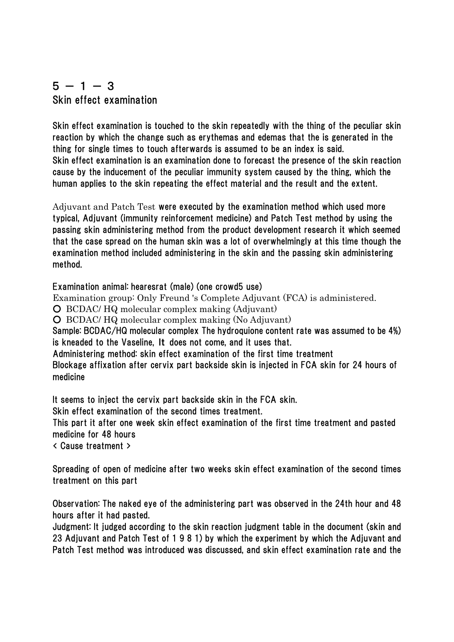#### $5 - 1 - 3$ Skin effect examination

Skin effect examination is touched to the skin repeatedly with the thing of the peculiar skin reaction by which the change such as erythemas and edemas that the is generated in the thing for single times to touch afterwards is assumed to be an index is said. Skin effect examination is an examination done to forecast the presence of the skin reaction cause by the inducement of the peculiar immunity system caused by the thing, which the human applies to the skin repeating the effect material and the result and the extent.

Adjuvant and Patch Test were executed by the examination method which used more typical, Adjuvant (immunity reinforcement medicine) and Patch Test method by using the passing skin administering method from the product development research it which seemed that the case spread on the human skin was a lot of overwhelmingly at this time though the examination method included administering in the skin and the passing skin administering method.

Examination animal: hearesrat (male) (one crowd5 use)

Examination group: Only Freund 's Complete Adjuvant (FCA) is administered.

○ BCDAC/ HQ molecular complex making (Adjuvant)

○ BCDAC/ HQ molecular complex making (No Adjuvant)

Sample: BCDAC/HQ molecular complex The hydroquione content rate was assumed to be 4%) is kneaded to the Vaseline, It does not come, and it uses that.

Administering method: skin effect examination of the first time treatment

Blockage affixation after cervix part backside skin is injected in FCA skin for 24 hours of medicine

It seems to inject the cervix part backside skin in the FCA skin.

Skin effect examination of the second times treatment.

This part it after one week skin effect examination of the first time treatment and pasted medicine for 48 hours

< Cause treatment >

Spreading of open of medicine after two weeks skin effect examination of the second times treatment on this part

Observation: The naked eye of the administering part was observed in the 24th hour and 48 hours after it had pasted.

Judgment: It judged according to the skin reaction judgment table in the document (skin and 23 Adjuvant and Patch Test of 1 9 8 1) by which the experiment by which the Adjuvant and Patch Test method was introduced was discussed, and skin effect examination rate and the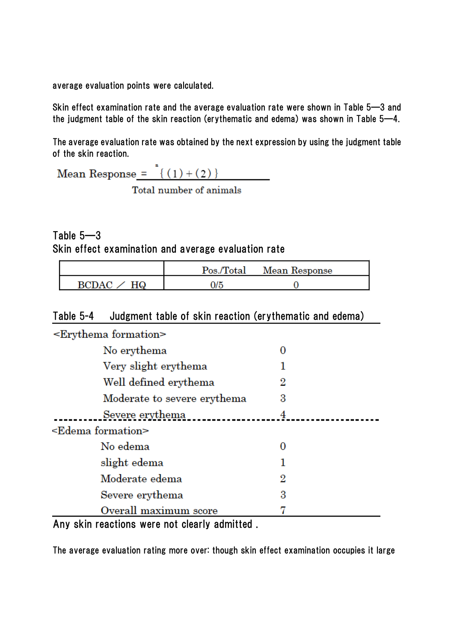average evaluation points were calculated.

Skin effect examination rate and the average evaluation rate were shown in Table 5―3 and the judgment table of the skin reaction (erythematic and edema) was shown in Table 5―4.

The average evaluation rate was obtained by the next expression by using the judgment table of the skin reaction.

| Mean Response = $\{(1)+(2)\}\$ |  |
|--------------------------------|--|
|                                |  |

Total number of animals

Table 5―3 Skin effect examination and average evaluation rate

|                    |     | Pos./Total Mean Response |  |
|--------------------|-----|--------------------------|--|
| RCDAC <sub>2</sub> | )/5 |                          |  |

#### Table 5-4 Judgment table of skin reaction (erythematic and edema)

| -Erythema formation          |   |  |
|------------------------------|---|--|
| No erythema                  | 0 |  |
| Very slight erythema         | 1 |  |
| Well defined erythema        | 2 |  |
| Moderate to severe erythema  | 3 |  |
| Severe erythema              |   |  |
| <edema formation=""></edema> |   |  |
| No edema                     | О |  |
| slight edema                 |   |  |
| Moderate edema               | 2 |  |
| Severe erythema              | 3 |  |
| Overall maximum score        |   |  |

Any skin reactions were not clearly admitted .

The average evaluation rating more over: though skin effect examination occupies it large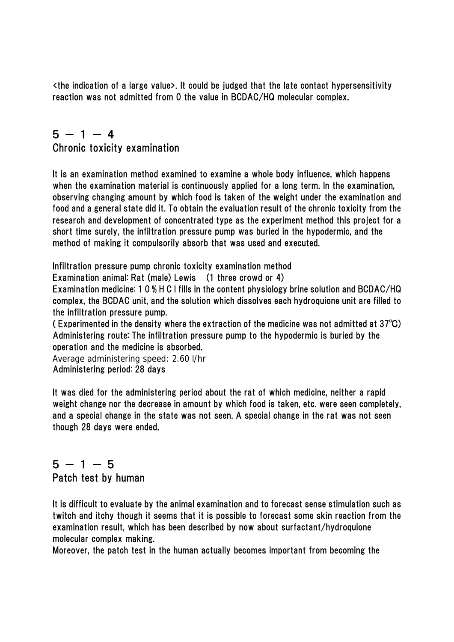<the indication of a large value>. It could be judged that the late contact hypersensitivity reaction was not admitted from 0 the value in BCDAC/HQ molecular complex.

## $5 - 1 - 4$

Chronic toxicity examination

It is an examination method examined to examine a whole body influence, which happens when the examination material is continuously applied for a long term. In the examination, observing changing amount by which food is taken of the weight under the examination and food and a general state did it. To obtain the evaluation result of the chronic toxicity from the research and development of concentrated type as the experiment method this project for a short time surely, the infiltration pressure pump was buried in the hypodermic, and the method of making it compulsorily absorb that was used and executed.

Infiltration pressure pump chronic toxicity examination method

Examination animal: Rat (male) Lewis (1 three crowd or 4)

Examination medicine: 1 0 % H C l fills in the content physiology brine solution and BCDAC/HQ complex, the BCDAC unit, and the solution which dissolves each hydroquione unit are filled to the infiltration pressure pump.

( Experimented in the density where the extraction of the medicine was not admitted at 37℃) Administering route: The infiltration pressure pump to the hypodermic is buried by the operation and the medicine is absorbed.

Average administering speed: 2.60 l/hr Administering period: 28 days

It was died for the administering period about the rat of which medicine, neither a rapid weight change nor the decrease in amount by which food is taken, etc. were seen completely, and a special change in the state was not seen. A special change in the rat was not seen though 28 days were ended.

# $5 - 1 - 5$

Patch test by human

It is difficult to evaluate by the animal examination and to forecast sense stimulation such as twitch and itchy though it seems that it is possible to forecast some skin reaction from the examination result, which has been described by now about surfactant/hydroquione molecular complex making.

Moreover, the patch test in the human actually becomes important from becoming the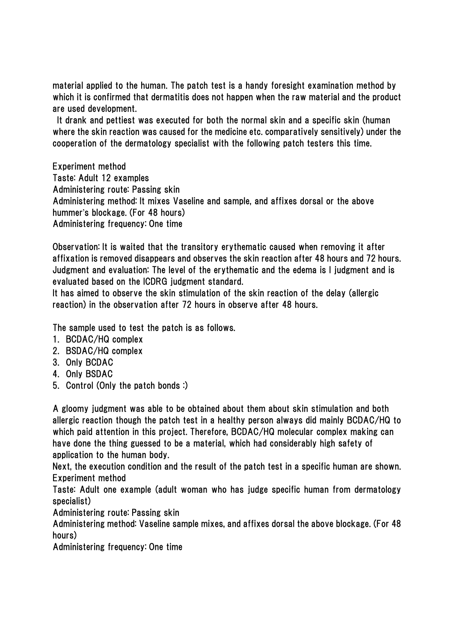material applied to the human. The patch test is a handy foresight examination method by which it is confirmed that dermatitis does not happen when the raw material and the product are used development.

 It drank and pettiest was executed for both the normal skin and a specific skin (human where the skin reaction was caused for the medicine etc. comparatively sensitively) under the cooperation of the dermatology specialist with the following patch testers this time.

Experiment method Taste: Adult 12 examples Administering route: Passing skin Administering method: It mixes Vaseline and sample, and affixes dorsal or the above hummer's blockage. (For 48 hours) Administering frequency: One time

Observation: It is waited that the transitory erythematic caused when removing it after affixation is removed disappears and observes the skin reaction after 48 hours and 72 hours. Judgment and evaluation: The level of the erythematic and the edema is I judgment and is evaluated based on the ICDRG judgment standard.

It has aimed to observe the skin stimulation of the skin reaction of the delay (allergic reaction) in the observation after 72 hours in observe after 48 hours.

The sample used to test the patch is as follows.

- 1. BCDAC/HQ complex
- 2. BSDAC/HQ complex
- 3. Only BCDAC
- 4. Only BSDAC
- 5. Control (Only the patch bonds :)

A gloomy judgment was able to be obtained about them about skin stimulation and both allergic reaction though the patch test in a healthy person always did mainly BCDAC/HQ to which paid attention in this project. Therefore, BCDAC/HQ molecular complex making can have done the thing guessed to be a material, which had considerably high safety of application to the human body.

Next, the execution condition and the result of the patch test in a specific human are shown. Experiment method

Taste: Adult one example (adult woman who has judge specific human from dermatology specialist)

Administering route: Passing skin

Administering method: Vaseline sample mixes, and affixes dorsal the above blockage. (For 48 hours)

Administering frequency: One time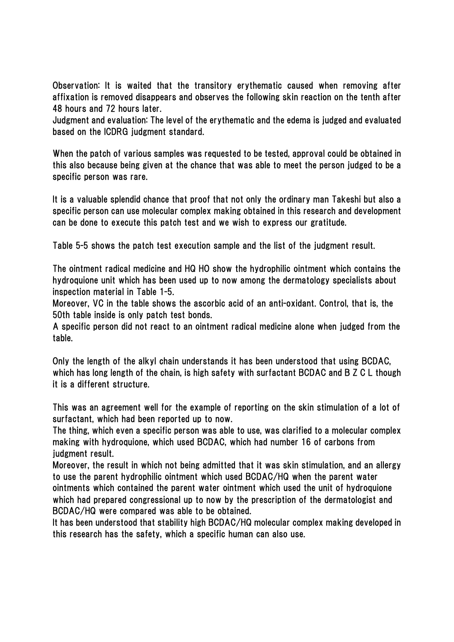Observation: It is waited that the transitory erythematic caused when removing after affixation is removed disappears and observes the following skin reaction on the tenth after 48 hours and 72 hours later.

Judgment and evaluation: The level of the erythematic and the edema is judged and evaluated based on the ICDRG judgment standard.

When the patch of various samples was requested to be tested, approval could be obtained in this also because being given at the chance that was able to meet the person judged to be a specific person was rare.

It is a valuable splendid chance that proof that not only the ordinary man Takeshi but also a specific person can use molecular complex making obtained in this research and development can be done to execute this patch test and we wish to express our gratitude.

Table 5-5 shows the patch test execution sample and the list of the judgment result.

The ointment radical medicine and HQ HO show the hydrophilic ointment which contains the hydroquione unit which has been used up to now among the dermatology specialists about inspection material in Table 1-5.

Moreover, VC in the table shows the ascorbic acid of an anti-oxidant. Control, that is, the 50th table inside is only patch test bonds.

A specific person did not react to an ointment radical medicine alone when judged from the table.

Only the length of the alkyl chain understands it has been understood that using BCDAC, which has long length of the chain, is high safety with surfactant BCDAC and B Z C L though it is a different structure.

This was an agreement well for the example of reporting on the skin stimulation of a lot of surfactant, which had been reported up to now.

The thing, which even a specific person was able to use, was clarified to a molecular complex making with hydroquione, which used BCDAC, which had number 16 of carbons from judgment result.

Moreover, the result in which not being admitted that it was skin stimulation, and an allergy to use the parent hydrophilic ointment which used BCDAC/HQ when the parent water ointments which contained the parent water ointment which used the unit of hydroquione which had prepared congressional up to now by the prescription of the dermatologist and BCDAC/HQ were compared was able to be obtained.

It has been understood that stability high BCDAC/HQ molecular complex making developed in this research has the safety, which a specific human can also use.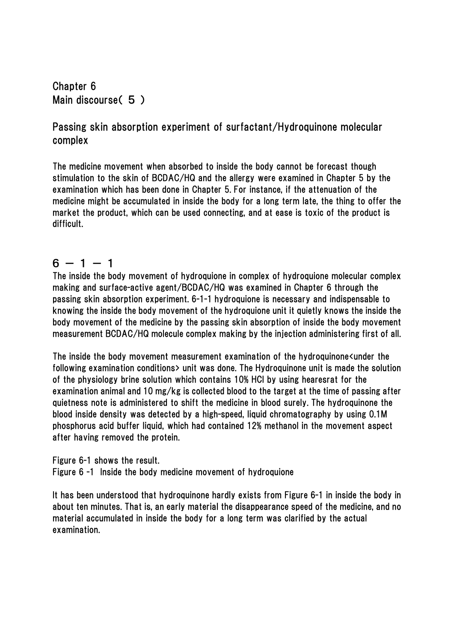Chapter 6 Main discourse( 5 )

#### Passing skin absorption experiment of surfactant/Hydroquinone molecular complex

The medicine movement when absorbed to inside the body cannot be forecast though stimulation to the skin of BCDAC/HQ and the allergy were examined in Chapter 5 by the examination which has been done in Chapter 5. For instance, if the attenuation of the medicine might be accumulated in inside the body for a long term late, the thing to offer the market the product, which can be used connecting, and at ease is toxic of the product is difficult.

#### $6 - 1 - 1$

The inside the body movement of hydroquione in complex of hydroquione molecular complex making and surface-active agent/BCDAC/HQ was examined in Chapter 6 through the passing skin absorption experiment. 6-1-1 hydroquione is necessary and indispensable to knowing the inside the body movement of the hydroquione unit it quietly knows the inside the body movement of the medicine by the passing skin absorption of inside the body movement measurement BCDAC/HQ molecule complex making by the injection administering first of all.

The inside the body movement measurement examination of the hydroquinone $\epsilon$ under the following examination conditions> unit was done. The Hydroquinone unit is made the solution of the physiology brine solution which contains 10% HCl by using hearesrat for the examination animal and 10 mg/kg is collected blood to the target at the time of passing after quietness note is administered to shift the medicine in blood surely. The hydroquinone the blood inside density was detected by a high-speed, liquid chromatography by using 0.1M phosphorus acid buffer liquid, which had contained 12% methanol in the movement aspect after having removed the protein.

Figure 6-1 shows the result.

Figure 6 -1 Inside the body medicine movement of hydroquione

It has been understood that hydroquinone hardly exists from Figure 6-1 in inside the body in about ten minutes. That is, an early material the disappearance speed of the medicine, and no material accumulated in inside the body for a long term was clarified by the actual examination.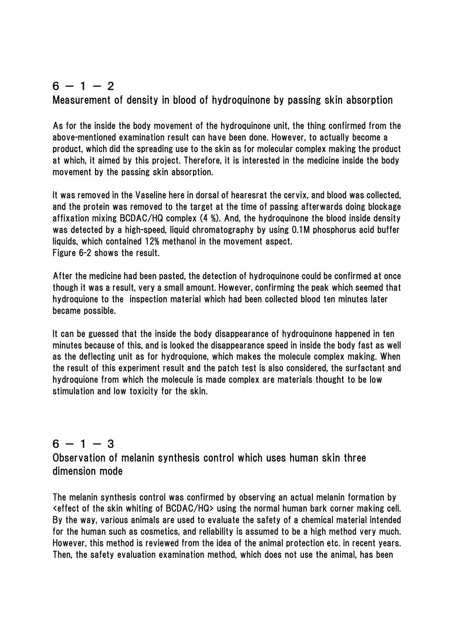## $6 - 1 - 2$

#### Measurement of density in blood of hydroquinone by passing skin absorption

As for the inside the body movement of the hydroquinone unit, the thing confirmed from the above-mentioned examination result can have been done. However, to actually become a product, which did the spreading use to the skin as for molecular complex making the product at which, it aimed by this project. Therefore, it is interested in the medicine inside the body movement by the passing skin absorption.

It was removed in the Vaseline here in dorsal of hearesrat the cervix, and blood was collected, and the protein was removed to the target at the time of passing afterwards doing blockage affixation mixing BCDAC/HQ complex (4 %). And, the hydroquinone the blood inside density was detected by a high-speed, liquid chromatography by using 0.1M phosphorus acid buffer liquids, which contained 12% methanol in the movement aspect. Figure 6-2 shows the result.

After the medicine had been pasted, the detection of hydroquinone could be confirmed at once though it was a result, very a small amount. However, confirming the peak which seemed that hydroquione to the inspection material which had been collected blood ten minutes later became possible.

It can be guessed that the inside the body disappearance of hydroquinone happened in ten minutes because of this, and is looked the disappearance speed in inside the body fast as well as the deflecting unit as for hydroquione, which makes the molecule complex making. When the result of this experiment result and the patch test is also considered, the surfactant and hydroquione from which the molecule is made complex are materials thought to be low stimulation and low toxicity for the skin.

#### $6 - 1 - 3$

Observation of melanin synthesis control which uses human skin three dimension mode

The melanin synthesis control was confirmed by observing an actual melanin formation by <effect of the skin whiting of BCDAC/HQ> using the normal human bark corner making cell. By the way, various animals are used to evaluate the safety of a chemical material intended for the human such as cosmetics, and reliability is assumed to be a high method very much. However, this method is reviewed from the idea of the animal protection etc. in recent years. Then, the safety evaluation examination method, which does not use the animal, has been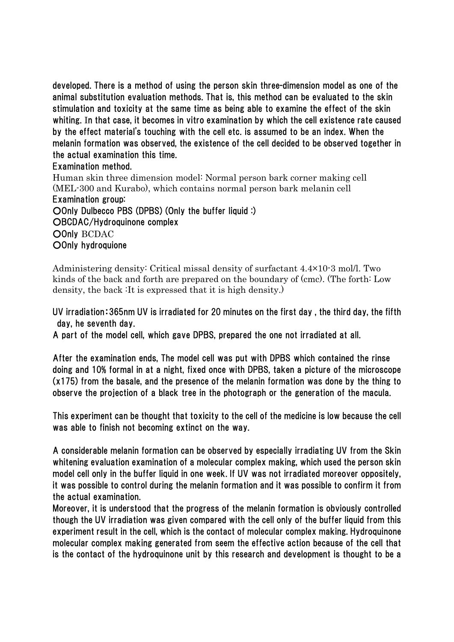developed. There is a method of using the person skin three-dimension model as one of the animal substitution evaluation methods. That is, this method can be evaluated to the skin stimulation and toxicity at the same time as being able to examine the effect of the skin whiting. In that case, it becomes in vitro examination by which the cell existence rate caused by the effect material's touching with the cell etc. is assumed to be an index. When the melanin formation was observed, the existence of the cell decided to be observed together in the actual examination this time.

Examination method.

Human skin three dimension model: Normal person bark corner making cell (MEL-300 and Kurabo), which contains normal person bark melanin cell Examination group: OOnly Dulbecco PBS (DPBS) (Only the buffer liquid :) ○BCDAC/Hydroquinone complex OOnly BCDAC OOnly hydroquione

Administering density: Critical missal density of surfactant 4.4×10-3 mol/l. Two kinds of the back and forth are prepared on the boundary of (cmc). (The forth: Low density, the back :It is expressed that it is high density.)

UV irradiation:365nm UV is irradiated for 20 minutes on the first day , the third day, the fifth day, he seventh day.

A part of the model cell, which gave DPBS, prepared the one not irradiated at all.

After the examination ends, The model cell was put with DPBS which contained the rinse doing and 10% formal in at a night, fixed once with DPBS, taken a picture of the microscope (x175) from the basale, and the presence of the melanin formation was done by the thing to observe the projection of a black tree in the photograph or the generation of the macula.

This experiment can be thought that toxicity to the cell of the medicine is low because the cell was able to finish not becoming extinct on the way.

A considerable melanin formation can be observed by especially irradiating UV from the Skin whitening evaluation examination of a molecular complex making, which used the person skin model cell only in the buffer liquid in one week. If UV was not irradiated moreover oppositely, it was possible to control during the melanin formation and it was possible to confirm it from the actual examination.

Moreover, it is understood that the progress of the melanin formation is obviously controlled though the UV irradiation was given compared with the cell only of the buffer liquid from this experiment result in the cell, which is the contact of molecular complex making. Hydroquinone molecular complex making generated from seem the effective action because of the cell that is the contact of the hydroquinone unit by this research and development is thought to be a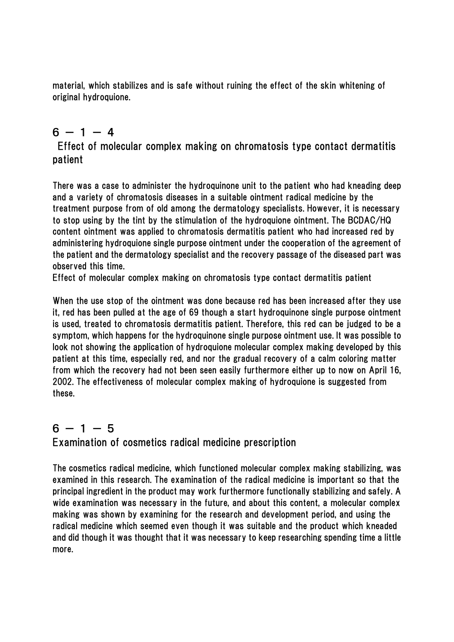material, which stabilizes and is safe without ruining the effect of the skin whitening of original hydroquione.

## $6 - 1 - 4$

 Effect of molecular complex making on chromatosis type contact dermatitis patient

There was a case to administer the hydroquinone unit to the patient who had kneading deep and a variety of chromatosis diseases in a suitable ointment radical medicine by the treatment purpose from of old among the dermatology specialists. However, it is necessary to stop using by the tint by the stimulation of the hydroquione ointment. The BCDAC/HQ content ointment was applied to chromatosis dermatitis patient who had increased red by administering hydroquione single purpose ointment under the cooperation of the agreement of the patient and the dermatology specialist and the recovery passage of the diseased part was observed this time.

Effect of molecular complex making on chromatosis type contact dermatitis patient

When the use stop of the ointment was done because red has been increased after they use it, red has been pulled at the age of 69 though a start hydroquinone single purpose ointment is used, treated to chromatosis dermatitis patient. Therefore, this red can be judged to be a symptom, which happens for the hydroquinone single purpose ointment use. It was possible to look not showing the application of hydroquione molecular complex making developed by this patient at this time, especially red, and nor the gradual recovery of a calm coloring matter from which the recovery had not been seen easily furthermore either up to now on April 16, 2002. The effectiveness of molecular complex making of hydroquione is suggested from these.

## $6 - 1 - 5$

Examination of cosmetics radical medicine prescription

The cosmetics radical medicine, which functioned molecular complex making stabilizing, was examined in this research. The examination of the radical medicine is important so that the principal ingredient in the product may work furthermore functionally stabilizing and safely. A wide examination was necessary in the future, and about this content, a molecular complex making was shown by examining for the research and development period, and using the radical medicine which seemed even though it was suitable and the product which kneaded and did though it was thought that it was necessary to keep researching spending time a little more.